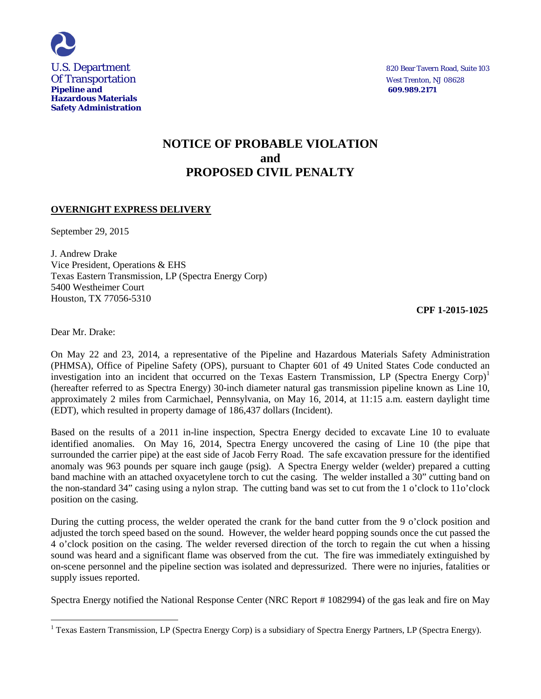

# **NOTICE OF PROBABLE VIOLATION and PROPOSED CIVIL PENALTY**

# **OVERNIGHT EXPRESS DELIVERY**

September 29, 2015

J. Andrew Drake Vice President, Operations & EHS Texas Eastern Transmission, LP (Spectra Energy Corp) 5400 Westheimer Court Houston, TX 77056-5310

 **CPF 1-2015-1025** 

Dear Mr. Drake:

 $\overline{a}$ 

On May 22 and 23, 2014, a representative of the Pipeline and Hazardous Materials Safety Administration (PHMSA), Office of Pipeline Safety (OPS), pursuant to Chapter 601 of 49 United States Code conducted an investigation into an incident that occurred on the Texas Eastern Transmission, LP (Spectra Energy Corp)<sup>1</sup> (hereafter referred to as Spectra Energy) 30-inch diameter natural gas transmission pipeline known as Line 10, approximately 2 miles from Carmichael, Pennsylvania, on May 16, 2014, at 11:15 a.m. eastern daylight time (EDT), which resulted in property damage of 186,437 dollars (Incident).

Based on the results of a 2011 in-line inspection, Spectra Energy decided to excavate Line 10 to evaluate identified anomalies. On May 16, 2014, Spectra Energy uncovered the casing of Line 10 (the pipe that surrounded the carrier pipe) at the east side of Jacob Ferry Road. The safe excavation pressure for the identified anomaly was 963 pounds per square inch gauge (psig). A Spectra Energy welder (welder) prepared a cutting band machine with an attached oxyacetylene torch to cut the casing. The welder installed a 30" cutting band on the non-standard 34" casing using a nylon strap. The cutting band was set to cut from the 1 o'clock to 11o'clock position on the casing.

During the cutting process, the welder operated the crank for the band cutter from the 9 o'clock position and adjusted the torch speed based on the sound. However, the welder heard popping sounds once the cut passed the 4 o'clock position on the casing. The welder reversed direction of the torch to regain the cut when a hissing sound was heard and a significant flame was observed from the cut. The fire was immediately extinguished by on-scene personnel and the pipeline section was isolated and depressurized. There were no injuries, fatalities or supply issues reported.

Spectra Energy notified the National Response Center (NRC Report # 1082994) of the gas leak and fire on May

 $1$  Texas Eastern Transmission, LP (Spectra Energy Corp) is a subsidiary of Spectra Energy Partners, LP (Spectra Energy).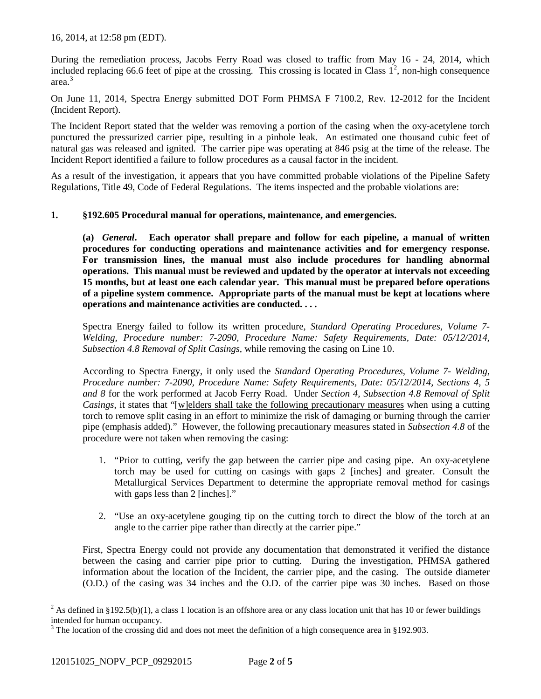16, 2014, at 12:58 pm (EDT).

During the remediation process, Jacobs Ferry Road was closed to traffic from May 16 - 24, 2014, which included replacing 66.6 feet of pipe at the crossing. This crossing is located in Class  $1^2$ , non-high consequence area. 3

On June 11, 2014, Spectra Energy submitted DOT Form PHMSA F 7100.2, Rev. 12-2012 for the Incident (Incident Report).

The Incident Report stated that the welder was removing a portion of the casing when the oxy-acetylene torch punctured the pressurized carrier pipe, resulting in a pinhole leak. An estimated one thousand cubic feet of natural gas was released and ignited. The carrier pipe was operating at 846 psig at the time of the release. The Incident Report identified a failure to follow procedures as a causal factor in the incident.

As a result of the investigation, it appears that you have committed probable violations of the Pipeline Safety Regulations, Title 49, Code of Federal Regulations. The items inspected and the probable violations are:

## **1. §192.605 Procedural manual for operations, maintenance, and emergencies.**

**(a)** *General***. Each operator shall prepare and follow for each pipeline, a manual of written procedures for conducting operations and maintenance activities and for emergency response. For transmission lines, the manual must also include procedures for handling abnormal operations. This manual must be reviewed and updated by the operator at intervals not exceeding 15 months, but at least one each calendar year. This manual must be prepared before operations of a pipeline system commence. Appropriate parts of the manual must be kept at locations where operations and maintenance activities are conducted. . . .** 

Spectra Energy failed to follow its written procedure, *Standard Operating Procedures, Volume 7- Welding, Procedure number: 7-2090, Procedure Name: Safety Requirements, Date: 05/12/2014, Subsection 4.8 Removal of Split Casings,* while removing the casing on Line 10.

According to Spectra Energy, it only used the *Standard Operating Procedures, Volume 7- Welding, Procedure number: 7-2090, Procedure Name: Safety Requirements, Date: 05/12/2014*, *Sections 4, 5 and 8* for the work performed at Jacob Ferry Road.Under *Section 4, Subsection 4.8 Removal of Split Casings*, it states that "[w]elders shall take the following precautionary measures when using a cutting torch to remove split casing in an effort to minimize the risk of damaging or burning through the carrier pipe (emphasis added)." However, the following precautionary measures stated in *Subsection 4.8* of the procedure were not taken when removing the casing:

- 1. "Prior to cutting, verify the gap between the carrier pipe and casing pipe. An oxy-acetylene torch may be used for cutting on casings with gaps 2 [inches] and greater. Consult the Metallurgical Services Department to determine the appropriate removal method for casings with gaps less than 2 [inches]."
- 2. "Use an oxy-acetylene gouging tip on the cutting torch to direct the blow of the torch at an angle to the carrier pipe rather than directly at the carrier pipe."

First, Spectra Energy could not provide any documentation that demonstrated it verified the distance between the casing and carrier pipe prior to cutting. During the investigation, PHMSA gathered information about the location of the Incident, the carrier pipe, and the casing. The outside diameter (O.D.) of the casing was 34 inches and the O.D. of the carrier pipe was 30 inches. Based on those

 $\overline{a}$ <sup>2</sup> As defined in §192.5(b)(1), a class 1 location is an offshore area or any class location unit that has 10 or fewer buildings intended for human occupancy.

<sup>&</sup>lt;sup>3</sup> The location of the crossing did and does not meet the definition of a high consequence area in §192.903.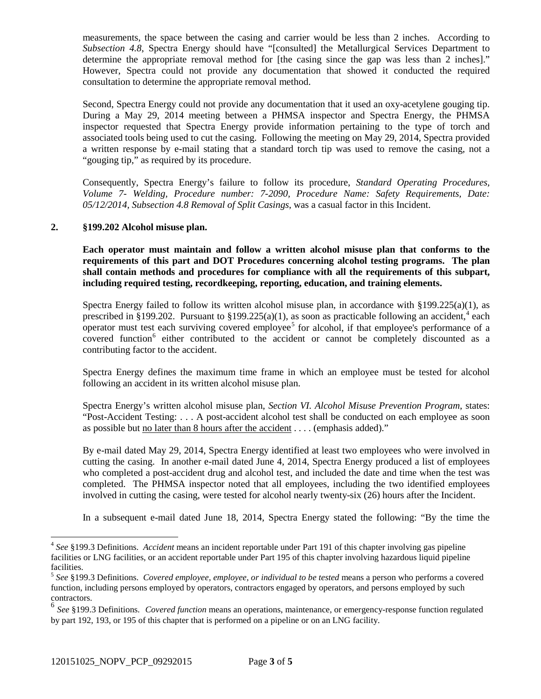measurements, the space between the casing and carrier would be less than 2 inches. According to *Subsection 4.8*, Spectra Energy should have "[consulted] the Metallurgical Services Department to determine the appropriate removal method for [the casing since the gap was less than 2 inches]." However, Spectra could not provide any documentation that showed it conducted the required consultation to determine the appropriate removal method.

Second, Spectra Energy could not provide any documentation that it used an oxy-acetylene gouging tip. During a May 29, 2014 meeting between a PHMSA inspector and Spectra Energy, the PHMSA inspector requested that Spectra Energy provide information pertaining to the type of torch and associated tools being used to cut the casing. Following the meeting on May 29, 2014, Spectra provided a written response by e-mail stating that a standard torch tip was used to remove the casing, not a "gouging tip," as required by its procedure.

Consequently, Spectra Energy's failure to follow its procedure, *Standard Operating Procedures, Volume 7- Welding, Procedure number: 7-2090, Procedure Name: Safety Requirements, Date: 05/12/2014, Subsection 4.8 Removal of Split Casings*, was a casual factor in this Incident.

#### **2. §199.202 Alcohol misuse plan.**

**Each operator must maintain and follow a written alcohol misuse plan that conforms to the requirements of this part and DOT Procedures concerning alcohol testing programs. The plan shall contain methods and procedures for compliance with all the requirements of this subpart, including required testing, recordkeeping, reporting, education, and training elements.**

Spectra Energy failed to follow its written alcohol misuse plan, in accordance with §199.225(a)(1), as prescribed in §199.202. Pursuant to §199.225(a)(1), as soon as practicable following an accident,<sup>4</sup> each operator must test each surviving covered employee<sup>5</sup> for alcohol, if that employee's performance of a covered function<sup>6</sup> either contributed to the accident or cannot be completely discounted as a contributing factor to the accident.

Spectra Energy defines the maximum time frame in which an employee must be tested for alcohol following an accident in its written alcohol misuse plan.

Spectra Energy's written alcohol misuse plan, *Section VI. Alcohol Misuse Prevention Program*, states: "Post-Accident Testing: . . . A post-accident alcohol test shall be conducted on each employee as soon as possible but no later than 8 hours after the accident . . . . (emphasis added)."

By e-mail dated May 29, 2014, Spectra Energy identified at least two employees who were involved in cutting the casing. In another e-mail dated June 4, 2014, Spectra Energy produced a list of employees who completed a post-accident drug and alcohol test, and included the date and time when the test was completed. The PHMSA inspector noted that all employees, including the two identified employees involved in cutting the casing, were tested for alcohol nearly twenty-six (26) hours after the Incident.

In a subsequent e-mail dated June 18, 2014, Spectra Energy stated the following: "By the time the

 $\overline{a}$ 

<sup>4</sup> *See* §199.3 Definitions. *Accident* means an incident reportable under Part 191 of this chapter involving gas pipeline facilities or LNG facilities, or an accident reportable under Part 195 of this chapter involving hazardous liquid pipeline facilities.

<sup>5</sup> *See* §199.3 Definitions. *Covered employee, employee, or individual to be tested* means a person who performs a covered function, including persons employed by operators, contractors engaged by operators, and persons employed by such contractors.

<sup>6</sup> *See* §199.3 Definitions. *Covered function* means an operations, maintenance, or emergency-response function regulated by part 192, 193, or 195 of this chapter that is performed on a pipeline or on an LNG facility.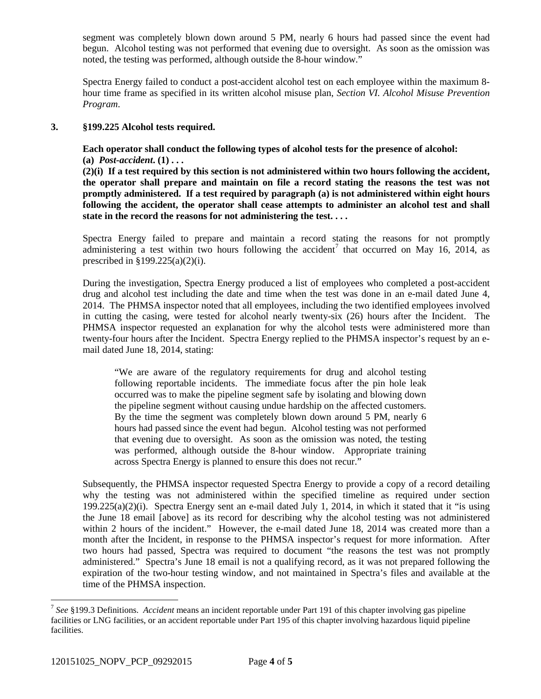segment was completely blown down around 5 PM, nearly 6 hours had passed since the event had begun. Alcohol testing was not performed that evening due to oversight. As soon as the omission was noted, the testing was performed, although outside the 8-hour window."

Spectra Energy failed to conduct a post-accident alcohol test on each employee within the maximum 8 hour time frame as specified in its written alcohol misuse plan, *Section VI. Alcohol Misuse Prevention Program*.

### **3. §199.225 Alcohol tests required.**

**Each operator shall conduct the following types of alcohol tests for the presence of alcohol: (a)** *Post-accident***. (1) . . .** 

**(2)(i) If a test required by this section is not administered within two hours following the accident, the operator shall prepare and maintain on file a record stating the reasons the test was not promptly administered. If a test required by paragraph (a) is not administered within eight hours following the accident, the operator shall cease attempts to administer an alcohol test and shall state in the record the reasons for not administering the test. . . .** 

Spectra Energy failed to prepare and maintain a record stating the reasons for not promptly administering a test within two hours following the accident<sup>7</sup> that occurred on May 16, 2014, as prescribed in §199.225(a)(2)(i).

During the investigation, Spectra Energy produced a list of employees who completed a post-accident drug and alcohol test including the date and time when the test was done in an e-mail dated June 4, 2014. The PHMSA inspector noted that all employees, including the two identified employees involved in cutting the casing, were tested for alcohol nearly twenty-six (26) hours after the Incident. The PHMSA inspector requested an explanation for why the alcohol tests were administered more than twenty-four hours after the Incident. Spectra Energy replied to the PHMSA inspector's request by an email dated June 18, 2014, stating:

"We are aware of the regulatory requirements for drug and alcohol testing following reportable incidents. The immediate focus after the pin hole leak occurred was to make the pipeline segment safe by isolating and blowing down the pipeline segment without causing undue hardship on the affected customers. By the time the segment was completely blown down around 5 PM, nearly 6 hours had passed since the event had begun. Alcohol testing was not performed that evening due to oversight. As soon as the omission was noted, the testing was performed, although outside the 8-hour window. Appropriate training across Spectra Energy is planned to ensure this does not recur."

Subsequently, the PHMSA inspector requested Spectra Energy to provide a copy of a record detailing why the testing was not administered within the specified timeline as required under section 199.225(a)(2)(i). Spectra Energy sent an e-mail dated July 1, 2014, in which it stated that it "is using the June 18 email [above] as its record for describing why the alcohol testing was not administered within 2 hours of the incident." However, the e-mail dated June 18, 2014 was created more than a month after the Incident, in response to the PHMSA inspector's request for more information. After two hours had passed, Spectra was required to document "the reasons the test was not promptly administered." Spectra's June 18 email is not a qualifying record, as it was not prepared following the expiration of the two-hour testing window, and not maintained in Spectra's files and available at the time of the PHMSA inspection.

 $\overline{a}$ 

<sup>7</sup> *See* §199.3 Definitions. *Accident* means an incident reportable under Part 191 of this chapter involving gas pipeline facilities or LNG facilities, or an accident reportable under Part 195 of this chapter involving hazardous liquid pipeline facilities.